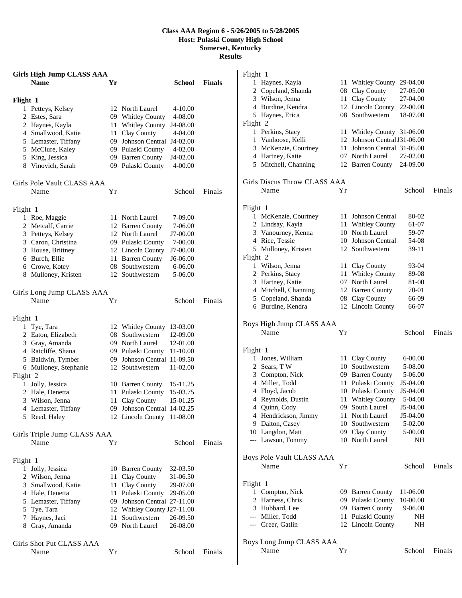## **Class AAA Region 6 - 5/26/2005 to 5/28/2005 Host: Pulaski County High School Somerset, Kentucky Results**

**Girls High Jump CLASS AAA Name Yr School Finals Flight 1** Petteys, Kelsey 12 North Laurel 4-10.00 Estes, Sara 09 Whitley County 4-08.00 Haynes, Kayla 11 Whitley County J4-08.00 Smallwood, Katie 11 Clay County 4-04.00 Lemaster, Tiffany 09 Johnson Central J4-02.00 McClure, Kaley 09 Pulaski County 4-02.00 King, Jessica 09 Barren County J4-02.00 Vinovich, Sarah 09 Pulaski County 4-00.00 Girls Pole Vault CLASS AAA Name  $Yr$  School Finals Flight 1 Roe, Maggie 11 North Laurel 7-09.00 Metcalf, Carrie 12 Barren County 7-06.00 Petteys, Kelsey 12 North Laurel J7-00.00 Caron, Christina 09 Pulaski County 7-00.00 House, Brittney 12 Lincoln County J7-00.00 Burch, Ellie 11 Barren County J6-06.00 Crowe, Kotey 08 Southwestern 6-06.00 Mulloney, Kristen 12 Southwestern 5-06.00 Girls Long Jump CLASS AAA Name  $Yr$  School Finals Flight 1 Tye, Tara 12 Whitley County 13-03.00 Eaton, Elizabeth 08 Southwestern 12-09.00 Gray, Amanda 09 North Laurel 12-01.00 Ratcliffe, Shana 09 Pulaski County 11-10.00 Baldwin, Tymber 09 Johnson Central 11-09.50 Mulloney, Stephanie 12 Southwestern 11-02.00 Flight 2 Jolly, Jessica 10 Barren County 15-11.25 Hale, Denetta 11 Pulaski County 15-03.75 Wilson, Jenna 11 Clay County 15-01.25 Lemaster, Tiffany 09 Johnson Central 14-02.25 Reed, Haley 12 Lincoln County 11-08.00 Girls Triple Jump CLASS AAA Name  $Yr$  School Finals Flight 1 Jolly, Jessica 10 Barren County 32-03.50 Wilson, Jenna 11 Clay County 31-06.50

 Smallwood, Katie 11 Clay County 29-07.00 Hale, Denetta 11 Pulaski County 29-05.00 Lemaster, Tiffany 09 Johnson Central 27-11.00 Tye, Tara 12 Whitley County J27-11.00 Haynes, Jaci 11 Southwestern 26-09.50 Gray, Amanda 09 North Laurel 26-08.00

Name  $Yr$  School Finals

Girls Shot Put CLASS AAA

## Flight 1 Haynes, Kayla 11 Whitley County 29-04.00 Copeland, Shanda 08 Clay County 27-05.00 Wilson, Jenna 11 Clay County 27-04.00 Burdine, Kendra 12 Lincoln County 22-00.00 Haynes, Erica 08 Southwestern 18-07.00 Flight 2 Perkins, Stacy 11 Whitley County 31-06.00 Vanhoose, Kelli 12 Johnson CentralJ31-06.00 McKenzie, Courtney 11 Johnson Central 31-05.00 Hartney, Katie 07 North Laurel 27-02.00 Mitchell, Channing 12 Barren County 24-09.00 Girls Discus Throw CLASS AAA Name  $Yr$  School Finals Flight 1 McKenzie, Courtney 11 Johnson Central 80-02 Lindsay, Kayla 11 Whitley County 61-07 Vanourney, Kenna 10 North Laurel 59-07 Rice, Tessie 10 Johnson Central 54-08 Mulloney, Kristen 12 Southwestern 39-11 Flight 2 Wilson, Jenna 11 Clay County 93-04 2 Perkins, Stacy 11 Whitley County 89-08 Hartney, Katie 07 North Laurel 81-00 Mitchell, Channing 12 Barren County 70-01 Copeland, Shanda 08 Clay County 66-09 Burdine, Kendra 12 Lincoln County 66-07 Boys High Jump CLASS AAA Name  $Yr$  School Finals Flight 1 Jones, William 11 Clay County 6-00.00 Sears, T W 10 Southwestern 5-08.00 Compton, Nick 09 Barren County 5-06.00 Miller, Todd 11 Pulaski County J5-04.00 Floyd, Jacob 10 Pulaski County J5-04.00 Reynolds, Dustin 11 Whitley County 5-04.00 Quinn, Cody 09 South Laurel J5-04.00 Hendrickson, Jimmy 11 North Laurel J5-04.00 Dalton, Casey 10 Southwestern 5-02.00 Langdon, Matt 09 Clay County 5-00.00 --- Lawson, Tommy 10 North Laurel NH Boys Pole Vault CLASS AAA Name Yr School Finals Flight 1 Compton, Nick 09 Barren County 11-06.00 Harness, Chris 09 Pulaski County 10-00.00 Hubbard, Lee 09 Barren County 9-06.00 --- Miller, Todd 11 Pulaski County NH --- Greer, Gatlin 12 Lincoln County NH Boys Long Jump CLASS AAA Name  $Yr$  School Finals